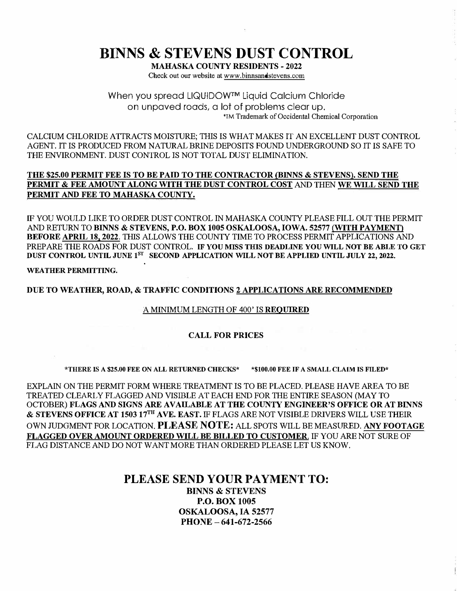# **BINNS & STEVENS DUST CONTROL**

**MAHASKA COUNTY RESIDENTS - 2022**  Check out our website at www.binnsandstevens.com

When you spread LIQUIDOW™ Liquid Calcium Chloride on unpaved roads, a lot of problems clear up. 'TM Trademark of Occidental Chemical Corporation

CALCIUM CHLORIDE ATTRACTS MOISTURE; THIS IS WHAT MAKES IT AN EXCELLENT DUST CONTROL AGENT. IT IS PRODUCED FROM NATURAL BRINE DEPOSITS FOUND UNDERGROUND SO IT IS SAFE TO THE ENVIRONMENT. DUST CONTROL IS NOT TOTAL DUST ELIMINATION.

#### **THE \$25,00 PERMIT FEE IS TO BE PAID TO THE CONTRACTOR {BINNS & STEVENS). SEND THE PERMIT & FEE AMOUNT ALONG WITH THE DUST CONTROL COST** AND THEN WE **WILL SEND THE PERMIT** AND **FEE TO MAHASKA COUNTY.**

IF YOU WOULD LIKE TO ORDER DUST CONTROL IN MAHASKA COUNTY PLEASE FILL OUT THE PERMIT AND RETURN TO **BINNS & STEVENS, P.O. BOX 1005 OSKALOOSA, IOWA. 52577 (WITH PAYMENT) BEFORE APRIL 18. 2022.** THIS ALLOWS THE COUNTY TIME TO PROCESS PERMIT APPLICATIONS AND PREP ARE THE ROADS FOR DUST CONTROL. **IF YOU MISS THIS DEADLINE YOU WILL NOT BE ABLE TO** GET **DUST CONTROL UNTIL** JUNE 1 **8T SECOND APPLICATION WILL NOT BE APPLIED UNTIL JULY 22, 2022. .** 

**WEATHER PERMITTING.** 

**DUE TO WEATHER, ROAD, & TRAFFIC CONDITIONS** 2 **APPLICATIONS** ARE **RECOMMENDED** 

#### A MINIMUM LENGTH OF 400' IS **REQUIRED**

#### **CALL FOR PRICES**

**\*THERE IS A \$25.00 FEE ON ALL RETURNED CHECKS\* \*\$100.00 FEE IF A SMALL CLAIM IS FILED\*** 

EXPLAIN ON THE PERMIT FORM WHERE TREATMENT IS TO BE PLACED. PLEASE HAVE AREA TO BE TREATED CLEARLY FLAGGED AND VISIBLE AT EACH END FOR THE ENTIRE SEASON (MAY TO OCTOBER) FLAGS AND SIGNS ARE AVAILABLE AT THE COUNTY ENGINEER'S OFFICE OR AT BINNS **&** STEVENS OFFICE AT 1503 17TH AVE. EAST. IF FLAGS ARE NOT VISIBLE DRIVERS WILL USE THEIR OWN JUDGMENT FOR LOCATION. **PLEASE NOTE:** ALL SPOTS WILL BE MEASURED. **ANY FOOTAGE FLAGGED OVER AMOUNT ORDERED WILL BE BILLED TO CUSTOMER.** IF YOU ARE NOT SURE OF FLAG DISTANCE AND DO NOT WANT MORE THAN ORDERED PLEASE LET US KNOW.

### **PLEASE SEND YOUR PAYMENT TO: BINNS & STEVENS P.O. BOX 1005 OSKALOOSA, IA 52577**

**PHONE - 641-672-2566**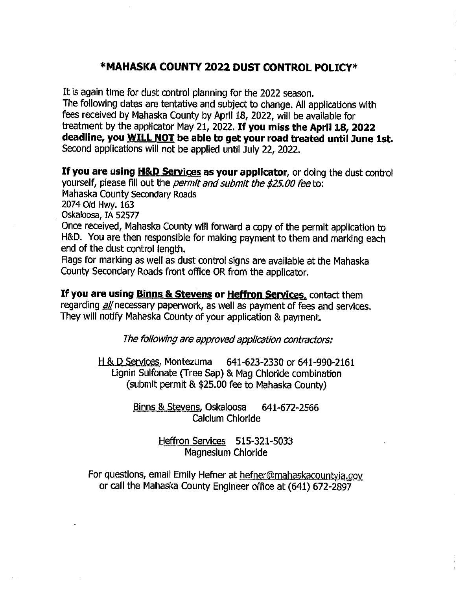### \*MAHASKA COUNTY 2022 DUST CONTROL POLICY\*

It is again time for dust control planning for the 2022 season. The following dates are tentative and subject to change. All applications with fees received by Mahaska County by April 18, 2022, will be available for treatment by the applicator May 21, 2022. If you miss the April 18, 2022 deadline, you WILL NOT be able to get your road treated until June 1st. Second applications will not be applied until July 22, 2022.

If you are using H&D Services as your applicator, or doing the dust control yourself, please fill out the *permit and submit the \$25.00 fee* to: Mahaska County Secondary Roads 2074 Old Hwy. 163 Oskaloosa, IA 52577 Once received, Mahaska County will forward a copy of the permit application to

H&D. You are then responsible for making payment to them and marking each end of the dust control length.

Flags for marking as well as dust control signs are available at the Mahaska County Secondary Roads front office OR from the applicator.

If you are using Binns & Stevens or Heffron Services, contact them regarding all necessary paperwork, as well as payment of fees and services. They will notify Mahaska County of your application & payment.

The following are approved application contractors:

H & D Services, Montezuma 641-623-2330 or 641-990-2161 Lignin Sulfonate (Tree Sap) & Mag Chloride combination (submit permit & \$25.00 fee to Mahaska County)

> Binns & Stevens, Oskaloosa 641-672-2566 Calcium Chloride

> > Heffron Services 515-321-5033 Magnesium Chloride

For questions, email Emily Hefner at hefner@mahaskacountyia.gov or call the Mahaska County Engineer office at (641) 672-2897